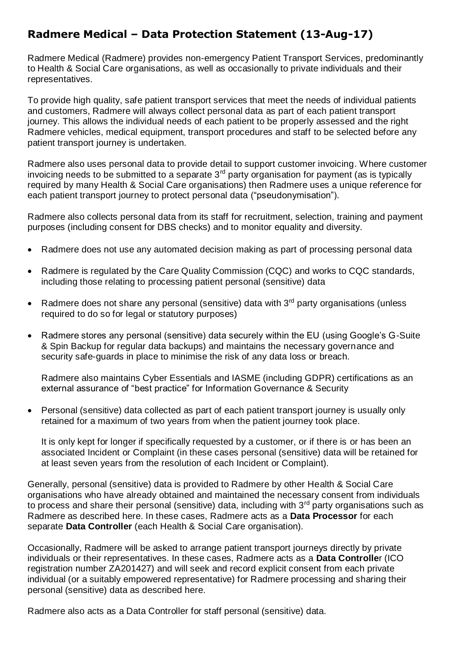## **Radmere Medical – Data Protection Statement (13-Aug-17)**

Radmere Medical (Radmere) provides non-emergency Patient Transport Services, predominantly to Health & Social Care organisations, as well as occasionally to private individuals and their representatives.

To provide high quality, safe patient transport services that meet the needs of individual patients and customers, Radmere will always collect personal data as part of each patient transport journey. This allows the individual needs of each patient to be properly assessed and the right Radmere vehicles, medical equipment, transport procedures and staff to be selected before any patient transport journey is undertaken.

Radmere also uses personal data to provide detail to support customer invoicing. Where customer invoicing needs to be submitted to a separate  $3<sup>rd</sup>$  party organisation for payment (as is typically required by many Health & Social Care organisations) then Radmere uses a unique reference for each patient transport journey to protect personal data ("pseudonymisation").

Radmere also collects personal data from its staff for recruitment, selection, training and payment purposes (including consent for DBS checks) and to monitor equality and diversity.

- Radmere does not use any automated decision making as part of processing personal data
- Radmere is regulated by the Care Quality Commission (CQC) and works to CQC standards, including those relating to processing patient personal (sensitive) data
- Radmere does not share any personal (sensitive) data with  $3<sup>rd</sup>$  party organisations (unless required to do so for legal or statutory purposes)
- Radmere stores any personal (sensitive) data securely within the EU (using Google's G-Suite & Spin Backup for regular data backups) and maintains the necessary governance and security safe-guards in place to minimise the risk of any data loss or breach.

Radmere also maintains Cyber Essentials and IASME (including GDPR) certifications as an external assurance of "best practice" for Information Governance & Security

• Personal (sensitive) data collected as part of each patient transport journey is usually only retained for a maximum of two years from when the patient journey took place.

It is only kept for longer if specifically requested by a customer, or if there is or has been an associated Incident or Complaint (in these cases personal (sensitive) data will be retained for at least seven years from the resolution of each Incident or Complaint).

Generally, personal (sensitive) data is provided to Radmere by other Health & Social Care organisations who have already obtained and maintained the necessary consent from individuals to process and share their personal (sensitive) data, including with 3<sup>rd</sup> party organisations such as Radmere as described here. In these cases, Radmere acts as a **Data Processor** for each separate **Data Controller** (each Health & Social Care organisation).

Occasionally, Radmere will be asked to arrange patient transport journeys directly by private individuals or their representatives. In these cases, Radmere acts as a **Data Controlle**r (ICO registration number ZA201427) and will seek and record explicit consent from each private individual (or a suitably empowered representative) for Radmere processing and sharing their personal (sensitive) data as described here.

Radmere also acts as a Data Controller for staff personal (sensitive) data.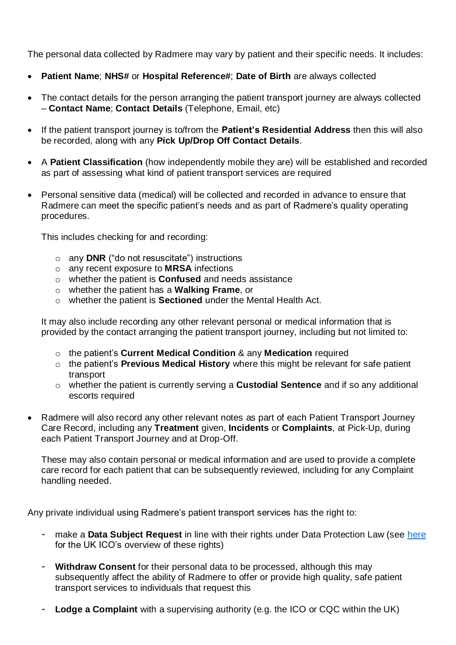The personal data collected by Radmere may vary by patient and their specific needs. It includes:

- **Patient Name**; **NHS#** or **Hospital Reference#**; **Date of Birth** are always collected
- The contact details for the person arranging the patient transport journey are always collected – **Contact Name**; **Contact Details** (Telephone, Email, etc)
- If the patient transport journey is to/from the **Patient's Residential Address** then this will also be recorded, along with any **Pick Up/Drop Off Contact Details**.
- A **Patient Classification** (how independently mobile they are) will be established and recorded as part of assessing what kind of patient transport services are required
- Personal sensitive data (medical) will be collected and recorded in advance to ensure that Radmere can meet the specific patient's needs and as part of Radmere's quality operating procedures.

This includes checking for and recording:

- o any **DNR** ("do not resuscitate") instructions
- o any recent exposure to **MRSA** infections
- o whether the patient is **Confused** and needs assistance
- o whether the patient has a **Walking Frame**, or
- o whether the patient is **Sectioned** under the Mental Health Act.

It may also include recording any other relevant personal or medical information that is provided by the contact arranging the patient transport journey, including but not limited to:

- o the patient's **Current Medical Condition** & any **Medication** required
- o the patient's **Previous Medical History** where this might be relevant for safe patient transport
- o whether the patient is currently serving a **Custodial Sentence** and if so any additional escorts required
- Radmere will also record any other relevant notes as part of each Patient Transport Journey Care Record, including any **Treatment** given, **Incidents** or **Complaints**, at Pick-Up, during each Patient Transport Journey and at Drop-Off.

These may also contain personal or medical information and are used to provide a complete care record for each patient that can be subsequently reviewed, including for any Complaint handling needed.

Any private individual using Radmere's patient transport services has the right to:

- make a **Data Subject Request** in line with their rights under Data Protection Law (see [here](https://ico.org.uk/for-organisations/data-protection-reform/overview-of-the-gdpr/individuals-rights/?q=best+practice) for the UK ICO's overview of these rights)
- **Withdraw Consent** for their personal data to be processed, although this may subsequently affect the ability of Radmere to offer or provide high quality, safe patient transport services to individuals that request this
- **Lodge a Complaint** with a supervising authority (e.g. the ICO or CQC within the UK)